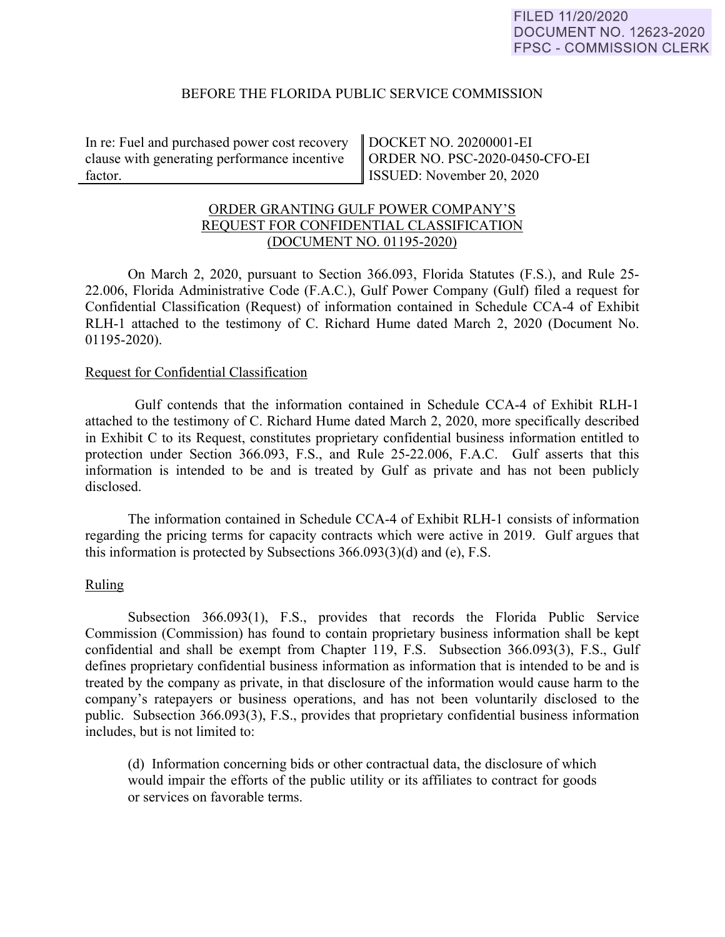### BEFORE THE FLORIDA PUBLIC SERVICE COMMISSION

In re: Fuel and purchased power cost recovery clause with generating performance incentive factor.

DOCKET NO. 20200001-EI ORDER NO. PSC-2020-0450-CFO-EI ISSUED: November 20, 2020

# ORDER GRANTING GULF POWER COMPANY'S REQUEST FOR CONFIDENTIAL CLASSIFICATION (DOCUMENT NO. 01195-2020)

On March 2, 2020, pursuant to Section 366.093, Florida Statutes (F.S.), and Rule 25- 22.006, Florida Administrative Code (F.A.C.), Gulf Power Company (Gulf) filed a request for Confidential Classification (Request) of information contained in Schedule CCA-4 of Exhibit RLH-1 attached to the testimony of C. Richard Hume dated March 2, 2020 (Document No. 01195-2020).

#### Request for Confidential Classification

 Gulf contends that the information contained in Schedule CCA-4 of Exhibit RLH-1 attached to the testimony of C. Richard Hume dated March 2, 2020, more specifically described in Exhibit C to its Request, constitutes proprietary confidential business information entitled to protection under Section 366.093, F.S., and Rule 25-22.006, F.A.C. Gulf asserts that this information is intended to be and is treated by Gulf as private and has not been publicly disclosed.

The information contained in Schedule CCA-4 of Exhibit RLH-1 consists of information regarding the pricing terms for capacity contracts which were active in 2019. Gulf argues that this information is protected by Subsections 366.093(3)(d) and (e), F.S.

# Ruling

Subsection 366.093(1), F.S., provides that records the Florida Public Service Commission (Commission) has found to contain proprietary business information shall be kept confidential and shall be exempt from Chapter 119, F.S. Subsection 366.093(3), F.S., Gulf defines proprietary confidential business information as information that is intended to be and is treated by the company as private, in that disclosure of the information would cause harm to the company's ratepayers or business operations, and has not been voluntarily disclosed to the public. Subsection 366.093(3), F.S., provides that proprietary confidential business information includes, but is not limited to:

 (d) Information concerning bids or other contractual data, the disclosure of which would impair the efforts of the public utility or its affiliates to contract for goods or services on favorable terms.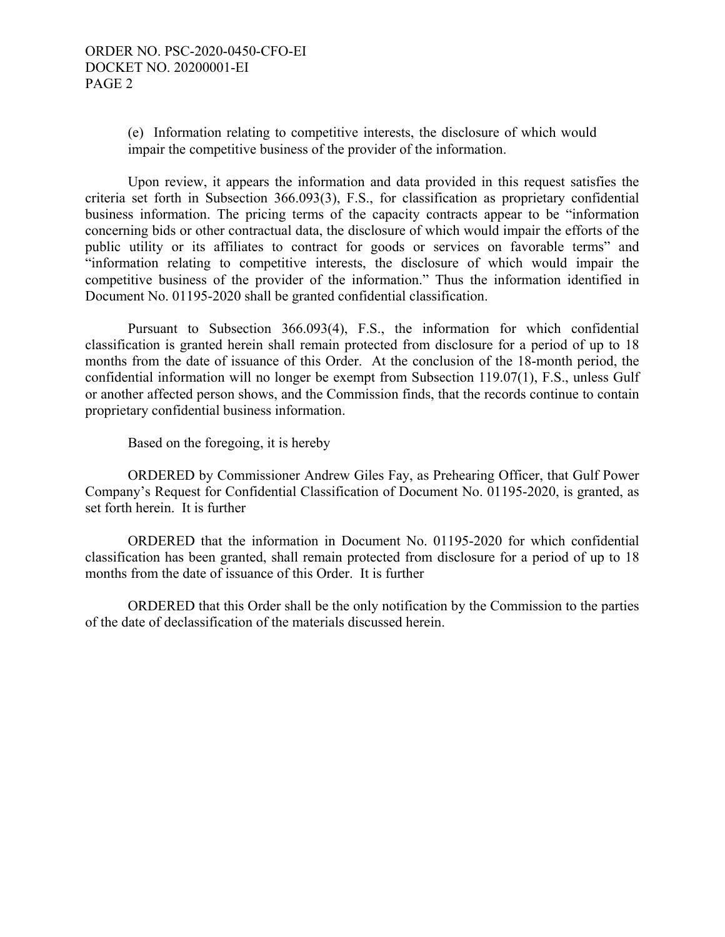(e) Information relating to competitive interests, the disclosure of which would impair the competitive business of the provider of the information.

 Upon review, it appears the information and data provided in this request satisfies the criteria set forth in Subsection 366.093(3), F.S., for classification as proprietary confidential business information. The pricing terms of the capacity contracts appear to be "information concerning bids or other contractual data, the disclosure of which would impair the efforts of the public utility or its affiliates to contract for goods or services on favorable terms" and "information relating to competitive interests, the disclosure of which would impair the competitive business of the provider of the information." Thus the information identified in Document No. 01195-2020 shall be granted confidential classification.

Pursuant to Subsection 366.093(4), F.S., the information for which confidential classification is granted herein shall remain protected from disclosure for a period of up to 18 months from the date of issuance of this Order. At the conclusion of the 18-month period, the confidential information will no longer be exempt from Subsection 119.07(1), F.S., unless Gulf or another affected person shows, and the Commission finds, that the records continue to contain proprietary confidential business information.

Based on the foregoing, it is hereby

 ORDERED by Commissioner Andrew Giles Fay, as Prehearing Officer, that Gulf Power Company's Request for Confidential Classification of Document No. 01195-2020, is granted, as set forth herein. It is further

 ORDERED that the information in Document No. 01195-2020 for which confidential classification has been granted, shall remain protected from disclosure for a period of up to 18 months from the date of issuance of this Order. It is further

 ORDERED that this Order shall be the only notification by the Commission to the parties of the date of declassification of the materials discussed herein.